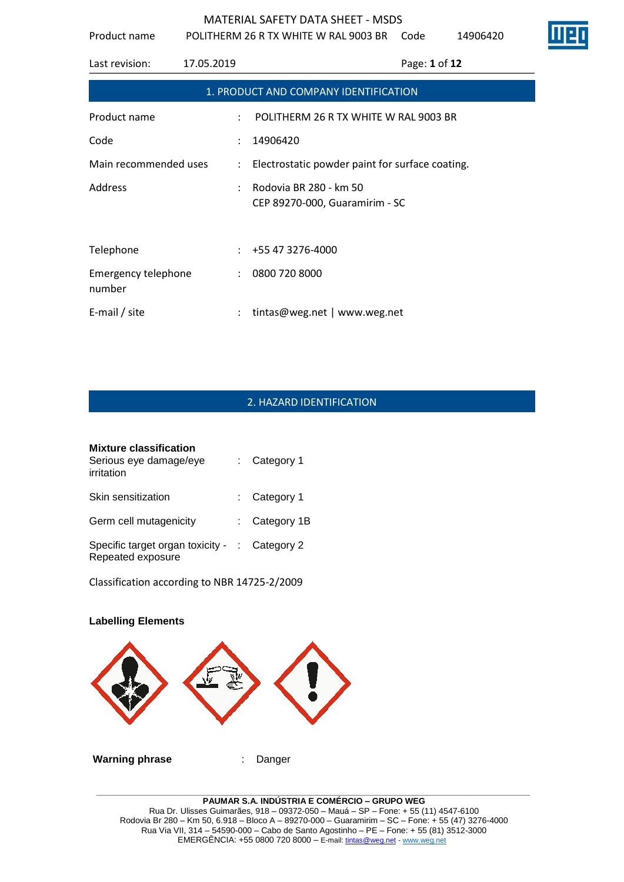Product name POLITHERM 26 R TX WHITE W RAL 9003 BR Code 14906420

| Last revision:                       | 17.05.2019           | Page: 1 of 12                                            |
|--------------------------------------|----------------------|----------------------------------------------------------|
|                                      |                      | 1. PRODUCT AND COMPANY IDENTIFICATION                    |
| Product name                         | ÷                    | POLITHERM 26 R TX WHITE W RAL 9003 BR                    |
| Code                                 |                      | 14906420                                                 |
| Main recommended uses                | $\ddot{\phantom{a}}$ | Electrostatic powder paint for surface coating.          |
| <b>Address</b>                       | $\mathcal{L}$        | Rodovia BR 280 - km 50<br>CEP 89270-000, Guaramirim - SC |
| Telephone                            |                      | $\div$ +55 47 3276-4000                                  |
| <b>Emergency telephone</b><br>number | $\ddot{\phantom{0}}$ | 0800 720 8000                                            |
| E-mail / site                        |                      | tintas@weg.net   www.weg.net                             |

# 2. HAZARD IDENTIFICATION

| <b>Mixture classification</b><br>Serious eye damage/eye<br>irritation | $:$ Category 1  |  |
|-----------------------------------------------------------------------|-----------------|--|
| Skin sensitization                                                    | : Category 1    |  |
| Germ cell mutagenicity                                                | : Category $1B$ |  |
| Specific target organ toxicity - : Category 2<br>Repeated exposure    |                 |  |

Classification according to NBR 14725-2/2009

# **Labelling Elements Warning phrase** : Danger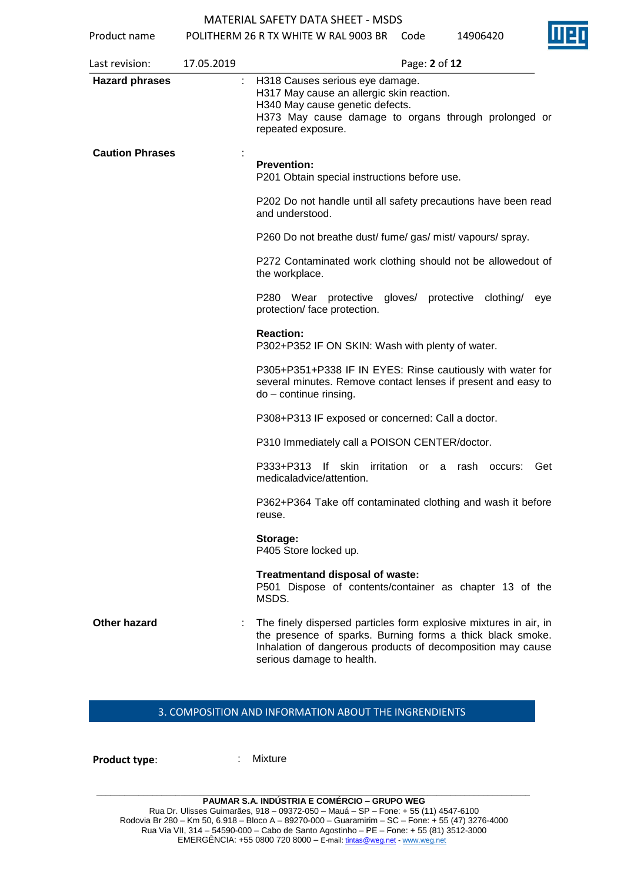Product name POLITHERM 26 R TX WHITE W RAL 9003 BR Code 14906420

| Last revision:         | 17.05.2019 | Page: 2 of 12                                                                                                                                                                                                               |
|------------------------|------------|-----------------------------------------------------------------------------------------------------------------------------------------------------------------------------------------------------------------------------|
| <b>Hazard phrases</b>  |            | H318 Causes serious eye damage.<br>H317 May cause an allergic skin reaction.<br>H340 May cause genetic defects.<br>H373 May cause damage to organs through prolonged or<br>repeated exposure.                               |
| <b>Caution Phrases</b> |            | <b>Prevention:</b><br>P201 Obtain special instructions before use.                                                                                                                                                          |
|                        |            | P202 Do not handle until all safety precautions have been read<br>and understood.                                                                                                                                           |
|                        |            | P260 Do not breathe dust/ fume/ gas/ mist/ vapours/ spray.                                                                                                                                                                  |
|                        |            | P272 Contaminated work clothing should not be allowedout of<br>the workplace.                                                                                                                                               |
|                        |            | P280 Wear protective gloves/ protective clothing/ eye<br>protection/ face protection.                                                                                                                                       |
|                        |            | <b>Reaction:</b><br>P302+P352 IF ON SKIN: Wash with plenty of water.                                                                                                                                                        |
|                        |            | P305+P351+P338 IF IN EYES: Rinse cautiously with water for<br>several minutes. Remove contact lenses if present and easy to<br>do - continue rinsing.                                                                       |
|                        |            | P308+P313 IF exposed or concerned: Call a doctor.                                                                                                                                                                           |
|                        |            | P310 Immediately call a POISON CENTER/doctor.                                                                                                                                                                               |
|                        |            | P333+P313 If skin<br>irritation or a rash occurs:<br>Get<br>medicaladvice/attention.                                                                                                                                        |
|                        |            | P362+P364 Take off contaminated clothing and wash it before<br>reuse.                                                                                                                                                       |
|                        |            | Storage:<br>P405 Store locked up.                                                                                                                                                                                           |
|                        |            | Treatmentand disposal of waste:<br>P501 Dispose of contents/container as chapter 13 of the<br>MSDS.                                                                                                                         |
| <b>Other hazard</b>    |            | The finely dispersed particles form explosive mixtures in air, in<br>the presence of sparks. Burning forms a thick black smoke.<br>Inhalation of dangerous products of decomposition may cause<br>serious damage to health. |

# 3. COMPOSITION AND INFORMATION ABOUT THE INGRENDIENTS

**Product type:** : Mixture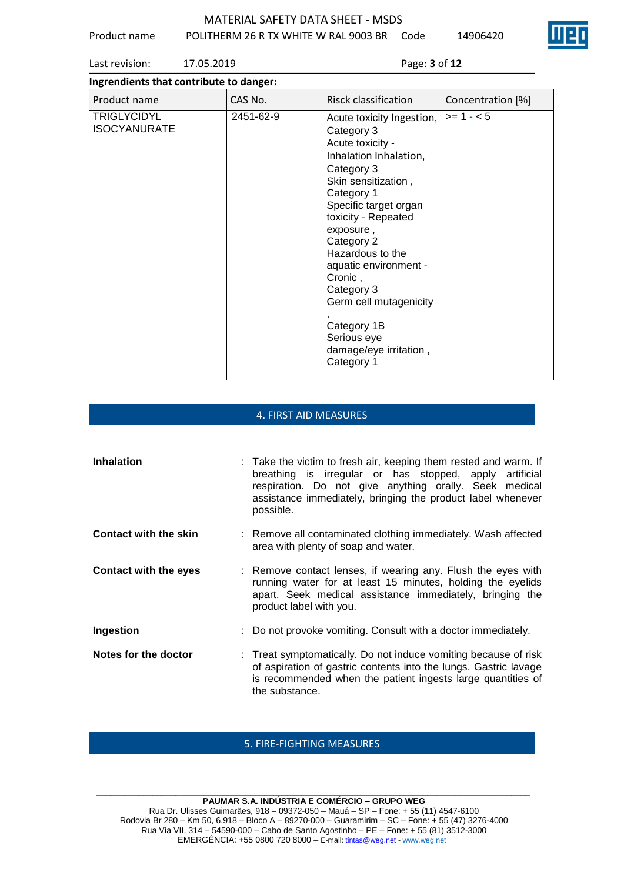Product name POLITHERM 26 R TX WHITE W RAL 9003 BR Code 14906420



Last revision: 17.05.2019 Page: **3** of **12**

| Ingrendients that contribute to danger:   |           |                                                                                                                                                                                                                                                                                                                                                                                           |                   |  |
|-------------------------------------------|-----------|-------------------------------------------------------------------------------------------------------------------------------------------------------------------------------------------------------------------------------------------------------------------------------------------------------------------------------------------------------------------------------------------|-------------------|--|
| Product name                              | CAS No.   | Risck classification                                                                                                                                                                                                                                                                                                                                                                      | Concentration [%] |  |
| <b>TRIGLYCIDYL</b><br><b>ISOCYANURATE</b> | 2451-62-9 | Acute toxicity Ingestion,<br>Category 3<br>Acute toxicity -<br>Inhalation Inhalation,<br>Category 3<br>Skin sensitization,<br>Category 1<br>Specific target organ<br>toxicity - Repeated<br>exposure,<br>Category 2<br>Hazardous to the<br>aquatic environment -<br>Cronic,<br>Category 3<br>Germ cell mutagenicity<br>Category 1B<br>Serious eye<br>damage/eye irritation,<br>Category 1 | $>= 1 - 5$        |  |

# 4. FIRST AID MEASURES

| <b>Inhalation</b>            | : Take the victim to fresh air, keeping them rested and warm. If<br>breathing is irregular or has stopped, apply artificial<br>respiration. Do not give anything orally. Seek medical<br>assistance immediately, bringing the product label whenever<br>possible. |
|------------------------------|-------------------------------------------------------------------------------------------------------------------------------------------------------------------------------------------------------------------------------------------------------------------|
| <b>Contact with the skin</b> | : Remove all contaminated clothing immediately. Wash affected<br>area with plenty of soap and water.                                                                                                                                                              |
| <b>Contact with the eyes</b> | : Remove contact lenses, if wearing any. Flush the eyes with<br>running water for at least 15 minutes, holding the eyelids<br>apart. Seek medical assistance immediately, bringing the<br>product label with you.                                                 |
| Ingestion                    | : Do not provoke vomiting. Consult with a doctor immediately.                                                                                                                                                                                                     |
| Notes for the doctor         | : Treat symptomatically. Do not induce vomiting because of risk<br>of aspiration of gastric contents into the lungs. Gastric lavage<br>is recommended when the patient ingests large quantities of<br>the substance.                                              |

# 5. FIRE-FIGHTING MEASURES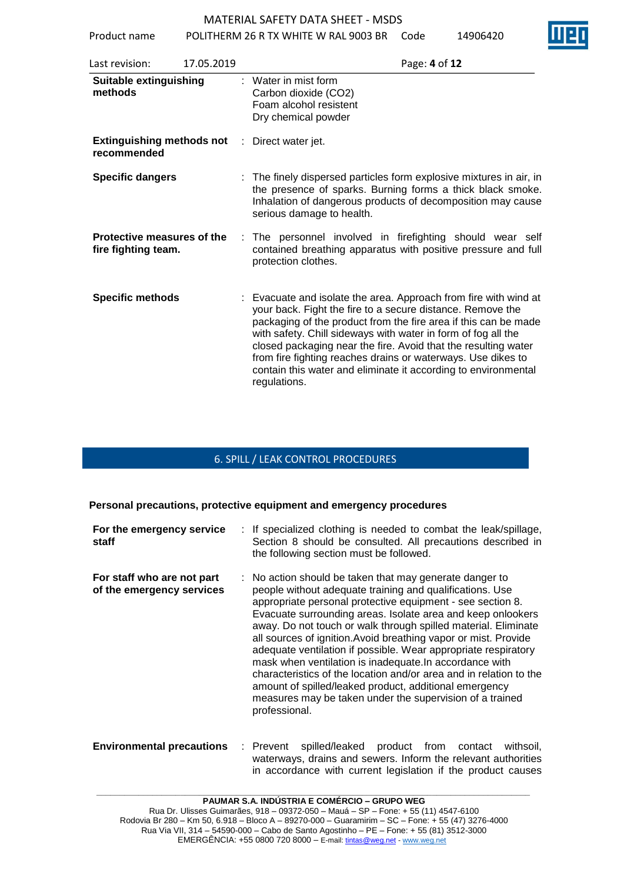Product name POLITHERM 26 R TX WHITE W RAL 9003 BR Code 14906420

| Last revision:                                    | 17.05.2019 | Page: 4 of 12                                                                                                                                                                                                                                                                                                                                                                                                                                                                          |
|---------------------------------------------------|------------|----------------------------------------------------------------------------------------------------------------------------------------------------------------------------------------------------------------------------------------------------------------------------------------------------------------------------------------------------------------------------------------------------------------------------------------------------------------------------------------|
| <b>Suitable extinguishing</b><br>methods          |            | Water in mist form<br>Carbon dioxide (CO2)<br>Foam alcohol resistent<br>Dry chemical powder                                                                                                                                                                                                                                                                                                                                                                                            |
| <b>Extinguishing methods not</b><br>recommended   |            | Direct water jet.<br>÷.                                                                                                                                                                                                                                                                                                                                                                                                                                                                |
| <b>Specific dangers</b>                           |            | : The finely dispersed particles form explosive mixtures in air, in<br>the presence of sparks. Burning forms a thick black smoke.<br>Inhalation of dangerous products of decomposition may cause<br>serious damage to health.                                                                                                                                                                                                                                                          |
| Protective measures of the<br>fire fighting team. |            | : The personnel involved in firefighting should wear self<br>contained breathing apparatus with positive pressure and full<br>protection clothes.                                                                                                                                                                                                                                                                                                                                      |
| <b>Specific methods</b>                           |            | : Evacuate and isolate the area. Approach from fire with wind at<br>your back. Fight the fire to a secure distance. Remove the<br>packaging of the product from the fire area if this can be made<br>with safety. Chill sideways with water in form of fog all the<br>closed packaging near the fire. Avoid that the resulting water<br>from fire fighting reaches drains or waterways. Use dikes to<br>contain this water and eliminate it according to environmental<br>regulations. |

## 6. SPILL / LEAK CONTROL PROCEDURES

### **Personal precautions, protective equipment and emergency procedures**

| For the emergency service<br>staff                      | : If specialized clothing is needed to combat the leak/spillage,<br>Section 8 should be consulted. All precautions described in<br>the following section must be followed.                                                                                                                                                                                                                                                                                                                                                                                                                                                                                                                                                      |
|---------------------------------------------------------|---------------------------------------------------------------------------------------------------------------------------------------------------------------------------------------------------------------------------------------------------------------------------------------------------------------------------------------------------------------------------------------------------------------------------------------------------------------------------------------------------------------------------------------------------------------------------------------------------------------------------------------------------------------------------------------------------------------------------------|
| For staff who are not part<br>of the emergency services | : No action should be taken that may generate danger to<br>people without adequate training and qualifications. Use<br>appropriate personal protective equipment - see section 8.<br>Evacuate surrounding areas. Isolate area and keep onlookers<br>away. Do not touch or walk through spilled material. Eliminate<br>all sources of ignition. Avoid breathing vapor or mist. Provide<br>adequate ventilation if possible. Wear appropriate respiratory<br>mask when ventilation is inadequate. In accordance with<br>characteristics of the location and/or area and in relation to the<br>amount of spilled/leaked product, additional emergency<br>measures may be taken under the supervision of a trained<br>professional. |

### **Environmental precautions** : Prevent spilled/leaked product from contact withsoil, waterways, drains and sewers. Inform the relevant authorities in accordance with current legislation if the product causes

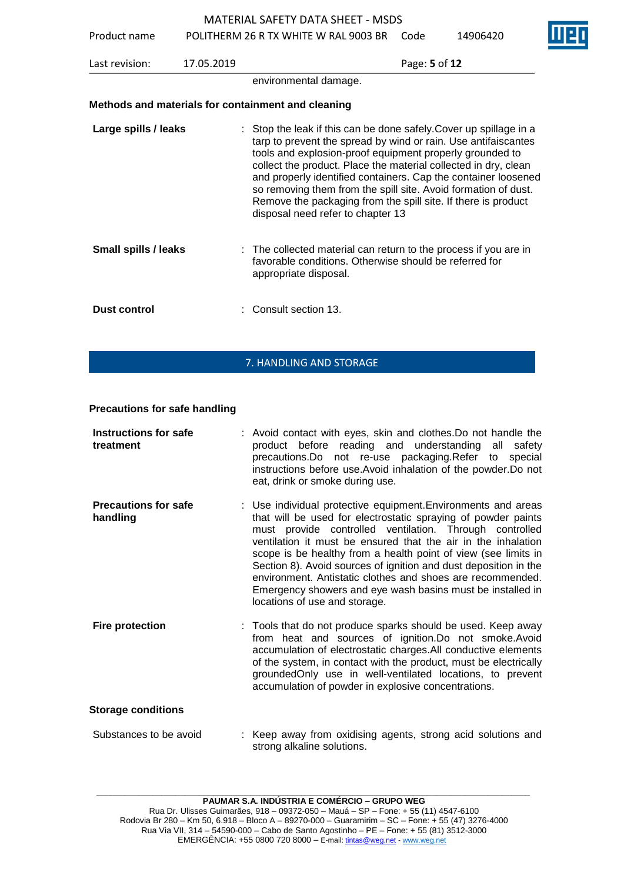Product name POLITHERM 26 R TX WHITE W RAL 9003 BR Code 14906420

Last revision: 17.05.2019 Page: **5** of **12** environmental damage. **Methods and materials for containment and cleaning Large spills / leaks** : Stop the leak if this can be done safely. Cover up spillage in a tarp to prevent the spread by wind or rain. Use antifaiscantes tools and explosion-proof equipment properly grounded to collect the product. Place the material collected in dry, clean and properly identified containers. Cap the container loosened so removing them from the spill site. Avoid formation of dust. Remove the packaging from the spill site. If there is product disposal need refer to chapter 13 **Small spills / leaks** : The collected material can return to the process if you are in favorable conditions. Otherwise should be referred for appropriate disposal. **Dust control** : Consult section 13.

# 7. HANDLING AND STORAGE

# **Precautions for safe handling**

| <b>Instructions for safe</b><br>treatment | : Avoid contact with eyes, skin and clothes. Do not handle the<br>product before reading and understanding all<br>safety<br>precautions.Do not re-use packaging.Refer to<br>special<br>instructions before use. Avoid inhalation of the powder. Do not<br>eat, drink or smoke during use.                                                                                                                                                                                                                                                                     |  |  |  |
|-------------------------------------------|---------------------------------------------------------------------------------------------------------------------------------------------------------------------------------------------------------------------------------------------------------------------------------------------------------------------------------------------------------------------------------------------------------------------------------------------------------------------------------------------------------------------------------------------------------------|--|--|--|
| <b>Precautions for safe</b><br>handling   | : Use individual protective equipment. Environments and areas<br>that will be used for electrostatic spraying of powder paints<br>must provide controlled ventilation. Through controlled<br>ventilation it must be ensured that the air in the inhalation<br>scope is be healthy from a health point of view (see limits in<br>Section 8). Avoid sources of ignition and dust deposition in the<br>environment. Antistatic clothes and shoes are recommended.<br>Emergency showers and eye wash basins must be installed in<br>locations of use and storage. |  |  |  |
| <b>Fire protection</b>                    | : Tools that do not produce sparks should be used. Keep away<br>from heat and sources of ignition.Do not smoke.Avoid<br>accumulation of electrostatic charges. All conductive elements<br>of the system, in contact with the product, must be electrically<br>groundedOnly use in well-ventilated locations, to prevent<br>accumulation of powder in explosive concentrations.                                                                                                                                                                                |  |  |  |
| <b>Storage conditions</b>                 |                                                                                                                                                                                                                                                                                                                                                                                                                                                                                                                                                               |  |  |  |
| Substances to be avoid                    | : Keep away from oxidising agents, strong acid solutions and<br>strong alkaline solutions.                                                                                                                                                                                                                                                                                                                                                                                                                                                                    |  |  |  |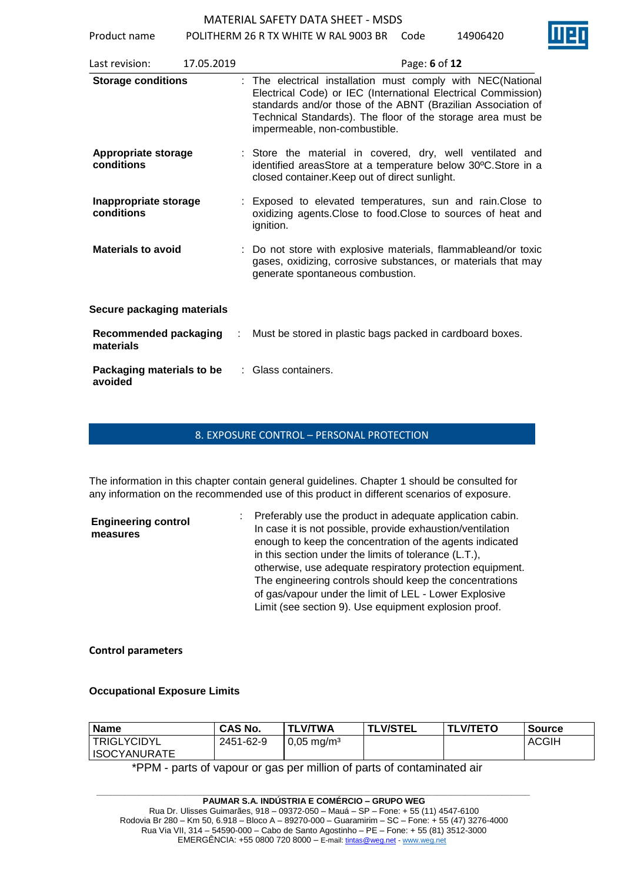Product name POLITHERM 26 R TX WHITE W RAL 9003 BR Code 14906420

| Last revision:                           | 17.05.2019 | Page: 6 of 12                                                                                                                                                                                                                                                                                |
|------------------------------------------|------------|----------------------------------------------------------------------------------------------------------------------------------------------------------------------------------------------------------------------------------------------------------------------------------------------|
| <b>Storage conditions</b>                |            | : The electrical installation must comply with NEC(National<br>Electrical Code) or IEC (International Electrical Commission)<br>standards and/or those of the ABNT (Brazilian Association of<br>Technical Standards). The floor of the storage area must be<br>impermeable, non-combustible. |
| <b>Appropriate storage</b><br>conditions |            | : Store the material in covered, dry, well ventilated and<br>identified areasStore at a temperature below 30°C.Store in a<br>closed container. Keep out of direct sunlight.                                                                                                                  |
| Inappropriate storage<br>conditions      |            | : Exposed to elevated temperatures, sun and rain. Close to<br>oxidizing agents. Close to food. Close to sources of heat and<br>ignition.                                                                                                                                                     |
| <b>Materials to avoid</b>                |            | : Do not store with explosive materials, flammableand/or toxic<br>gases, oxidizing, corrosive substances, or materials that may<br>generate spontaneous combustion.                                                                                                                          |
| <b>Secure packaging materials</b>        |            |                                                                                                                                                                                                                                                                                              |
| Recommended packaging<br>materials       | ÷          | Must be stored in plastic bags packed in cardboard boxes.                                                                                                                                                                                                                                    |
| Packaging materials to be<br>avoided     |            | Glass containers.                                                                                                                                                                                                                                                                            |

### 8. EXPOSURE CONTROL – PERSONAL PROTECTION

The information in this chapter contain general guidelines. Chapter 1 should be consulted for any information on the recommended use of this product in different scenarios of exposure.

| <b>Engineering control</b><br>measures | : Preferably use the product in adequate application cabin.<br>In case it is not possible, provide exhaustion/ventilation |
|----------------------------------------|---------------------------------------------------------------------------------------------------------------------------|
|                                        | enough to keep the concentration of the agents indicated                                                                  |
|                                        | in this section under the limits of tolerance (L.T.),                                                                     |
|                                        | otherwise, use adequate respiratory protection equipment.                                                                 |
|                                        | The engineering controls should keep the concentrations                                                                   |
|                                        | of gas/vapour under the limit of LEL - Lower Explosive                                                                    |
|                                        | Limit (see section 9). Use equipment explosion proof.                                                                     |

# **Control parameters**

# **Occupational Exposure Limits**

| <b>Name</b>         | <b>CAS No.</b> | <b>TLV/TWA</b>           | <b>TLV/STEL</b> | <b>TLV/TETO</b> | <b>Source</b> |
|---------------------|----------------|--------------------------|-----------------|-----------------|---------------|
| <b>TRIGLYCIDYL</b>  | 2451-62-9      | $0,05 \,\mathrm{mg/m^3}$ |                 |                 | <b>ACGIH</b>  |
| <b>ISOCYANURATE</b> |                |                          |                 |                 |               |

\*PPM - parts of vapour or gas per million of parts of contaminated air

**\_\_\_\_\_\_\_\_\_\_\_\_\_\_\_\_\_\_\_\_\_\_\_\_\_\_\_\_\_\_\_\_\_\_\_\_\_\_\_\_\_\_\_\_\_\_\_\_\_\_\_\_\_\_\_\_\_\_\_\_\_\_\_\_\_\_\_\_\_\_\_\_\_\_\_\_\_\_\_\_\_\_\_\_\_\_\_\_\_\_\_\_\_ PAUMAR S.A. INDÚSTRIA E COMÉRCIO – GRUPO WEG** Rua Dr. Ulisses Guimarães, 918 – 09372-050 – Mauá – SP – Fone: + 55 (11) 4547-6100 Rodovia Br 280 – Km 50, 6.918 – Bloco A – 89270-000 – Guaramirim – SC – Fone: + 55 (47) 3276-4000 Rua Via VII, 314 – 54590-000 – Cabo de Santo Agostinho – PE – Fone: + 55 (81) 3512-3000 EMERGÊNCIA: +55 0800 720 8000 – E-mail[: tintas@weg.net](mailto:tintas@weg.net) - [www.weg.net](http://www.weg.net/)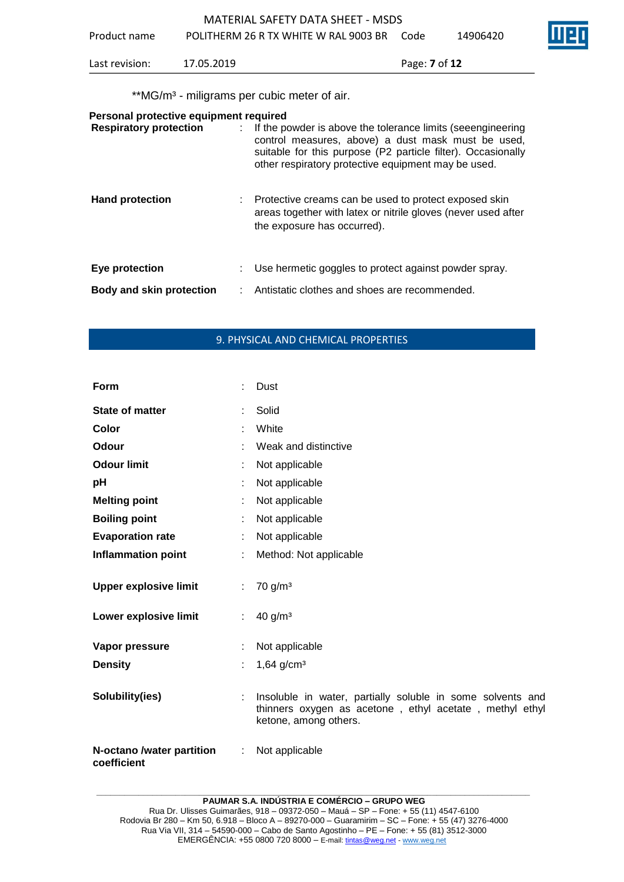| POLITHERM 26 R TX WHITE W RAL 9003 BR<br>Product name<br>14906420<br>Code<br>Last revision:<br>17.05.2019<br>Page: <b>7</b> of <b>12</b> |  |
|------------------------------------------------------------------------------------------------------------------------------------------|--|
|                                                                                                                                          |  |
|                                                                                                                                          |  |

\*\*MG/m<sup>3</sup> - miligrams per cubic meter of air.

| Personal protective equipment required<br><b>Respiratory protection</b> | : If the powder is above the tolerance limits (seeengineering<br>control measures, above) a dust mask must be used,<br>suitable for this purpose (P2 particle filter). Occasionally<br>other respiratory protective equipment may be used. |
|-------------------------------------------------------------------------|--------------------------------------------------------------------------------------------------------------------------------------------------------------------------------------------------------------------------------------------|
| <b>Hand protection</b>                                                  | Protective creams can be used to protect exposed skin<br>areas together with latex or nitrile gloves (never used after<br>the exposure has occurred).                                                                                      |
| Eye protection                                                          | Use hermetic goggles to protect against powder spray.                                                                                                                                                                                      |
| <b>Body and skin protection</b>                                         | Antistatic clothes and shoes are recommended.                                                                                                                                                                                              |

# 9. PHYSICAL AND CHEMICAL PROPERTIES

| Form                                     |                | Dust                                                                                                                                           |
|------------------------------------------|----------------|------------------------------------------------------------------------------------------------------------------------------------------------|
| <b>State of matter</b>                   |                | Solid                                                                                                                                          |
| Color                                    |                | White                                                                                                                                          |
| Odour                                    |                | Weak and distinctive                                                                                                                           |
| <b>Odour limit</b>                       |                | Not applicable                                                                                                                                 |
| pH                                       |                | Not applicable                                                                                                                                 |
| <b>Melting point</b>                     |                | Not applicable                                                                                                                                 |
| <b>Boiling point</b>                     | ÷.             | Not applicable                                                                                                                                 |
| <b>Evaporation rate</b>                  |                | Not applicable                                                                                                                                 |
| <b>Inflammation point</b>                |                | Method: Not applicable                                                                                                                         |
| <b>Upper explosive limit</b>             | ÷.             | 70 g/m <sup>3</sup>                                                                                                                            |
| Lower explosive limit                    | $\mathbb{R}^n$ | 40 g/m <sup>3</sup>                                                                                                                            |
| Vapor pressure<br><b>Density</b>         |                | Not applicable<br>$1,64$ g/cm <sup>3</sup>                                                                                                     |
| Solubility(ies)                          |                | Insoluble in water, partially soluble in some solvents and<br>thinners oxygen as acetone, ethyl acetate, methyl ethyl<br>ketone, among others. |
| N-octano /water partition<br>coefficient | ÷.             | Not applicable                                                                                                                                 |

**\_\_\_\_\_\_\_\_\_\_\_\_\_\_\_\_\_\_\_\_\_\_\_\_\_\_\_\_\_\_\_\_\_\_\_\_\_\_\_\_\_\_\_\_\_\_\_\_\_\_\_\_\_\_\_\_\_\_\_\_\_\_\_\_\_\_\_\_\_\_\_\_\_\_\_\_\_\_\_\_\_\_\_\_\_\_\_\_\_\_\_\_\_**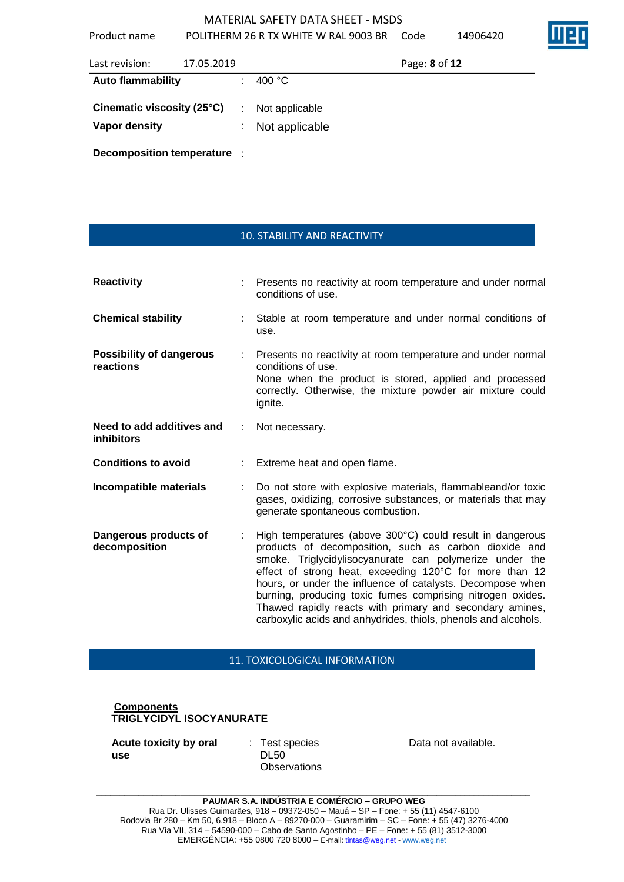Product name POLITHERM 26 R TX WHITE W RAL 9003 BR Code 14906420

| Last revision:              | 17.05.2019 |    |                  | Page: 8 of 12 |  |
|-----------------------------|------------|----|------------------|---------------|--|
| <b>Auto flammability</b>    |            |    | 400 $^{\circ}$ C |               |  |
| Cinematic viscosity (25°C)  |            | ÷  | Not applicable   |               |  |
| <b>Vapor density</b>        |            | ÷. | Not applicable   |               |  |
| Decomposition temperature : |            |    |                  |               |  |

10. STABILITY AND REACTIVITY

| <b>Reactivity</b>                              |                | Presents no reactivity at room temperature and under normal<br>conditions of use.                                                                                                                                                                                                                                                                                                                                                                                                                  |
|------------------------------------------------|----------------|----------------------------------------------------------------------------------------------------------------------------------------------------------------------------------------------------------------------------------------------------------------------------------------------------------------------------------------------------------------------------------------------------------------------------------------------------------------------------------------------------|
| <b>Chemical stability</b>                      |                | Stable at room temperature and under normal conditions of<br>use.                                                                                                                                                                                                                                                                                                                                                                                                                                  |
| <b>Possibility of dangerous</b><br>reactions   | $\mathbb{R}^n$ | Presents no reactivity at room temperature and under normal<br>conditions of use.<br>None when the product is stored, applied and processed<br>correctly. Otherwise, the mixture powder air mixture could<br>ignite.                                                                                                                                                                                                                                                                               |
| Need to add additives and<br><i>inhibitors</i> | ÷              | Not necessary.                                                                                                                                                                                                                                                                                                                                                                                                                                                                                     |
| <b>Conditions to avoid</b>                     |                | Extreme heat and open flame.                                                                                                                                                                                                                                                                                                                                                                                                                                                                       |
| Incompatible materials                         |                | Do not store with explosive materials, flammableand/or toxic<br>gases, oxidizing, corrosive substances, or materials that may<br>generate spontaneous combustion.                                                                                                                                                                                                                                                                                                                                  |
| Dangerous products of<br>decomposition         |                | High temperatures (above 300°C) could result in dangerous<br>products of decomposition, such as carbon dioxide and<br>smoke. Triglycidylisocyanurate can polymerize under the<br>effect of strong heat, exceeding 120°C for more than 12<br>hours, or under the influence of catalysts. Decompose when<br>burning, producing toxic fumes comprising nitrogen oxides.<br>Thawed rapidly reacts with primary and secondary amines,<br>carboxylic acids and anhydrides, thiols, phenols and alcohols. |

## 11. TOXICOLOGICAL INFORMATION

# **Components TRIGLYCIDYL ISOCYANURATE**

**Acute toxicity by oral use**

: Test species DL50 **Observations**  Data not available.

**\_\_\_\_\_\_\_\_\_\_\_\_\_\_\_\_\_\_\_\_\_\_\_\_\_\_\_\_\_\_\_\_\_\_\_\_\_\_\_\_\_\_\_\_\_\_\_\_\_\_\_\_\_\_\_\_\_\_\_\_\_\_\_\_\_\_\_\_\_\_\_\_\_\_\_\_\_\_\_\_\_\_\_\_\_\_\_\_\_\_\_\_\_**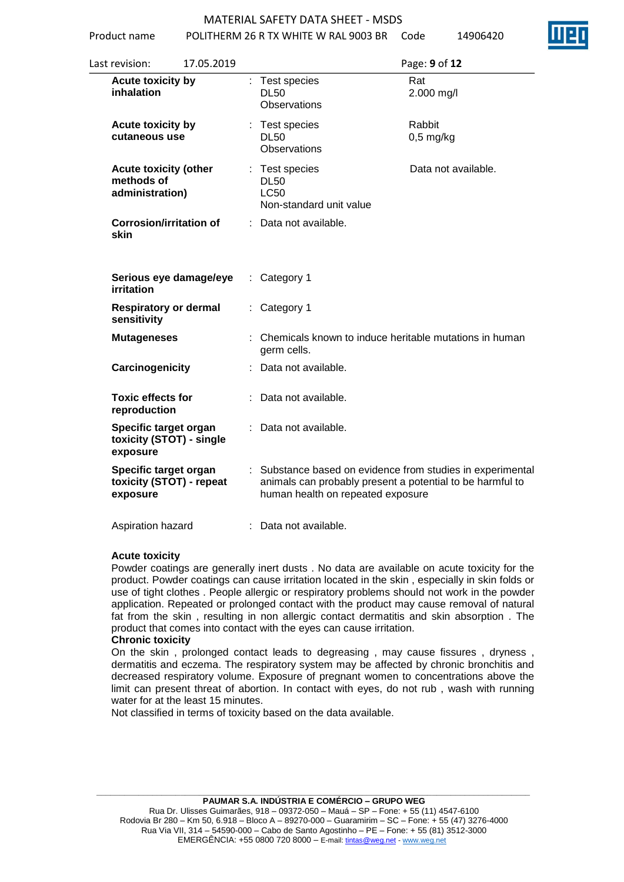Product name POLITHERM 26 R TX WHITE W RAL 9003 BR Code 14906420

| 17.05.2019<br>Last revision:                                  | Page: 9 of 12                                                                                                                                                |
|---------------------------------------------------------------|--------------------------------------------------------------------------------------------------------------------------------------------------------------|
| Acute toxicity by<br>inhalation                               | : Test species<br>Rat<br><b>DL50</b><br>2.000 mg/l<br><b>Observations</b>                                                                                    |
| Acute toxicity by<br>cutaneous use                            | Rabbit<br>: Test species<br><b>DL50</b><br>$0,5$ mg/kg<br><b>Observations</b>                                                                                |
| <b>Acute toxicity (other</b><br>methods of<br>administration) | Data not available.<br>: Test species<br><b>DL50</b><br><b>LC50</b><br>Non-standard unit value                                                               |
| <b>Corrosion/irritation of</b><br>skin                        | Data not available.                                                                                                                                          |
| Serious eye damage/eye<br><b>irritation</b>                   | Category 1<br>t.                                                                                                                                             |
| <b>Respiratory or dermal</b><br>sensitivity                   | Category 1                                                                                                                                                   |
| <b>Mutageneses</b>                                            | : Chemicals known to induce heritable mutations in human<br>germ cells.                                                                                      |
| Carcinogenicity                                               | Data not available.                                                                                                                                          |
| <b>Toxic effects for</b><br>reproduction                      | Data not available.                                                                                                                                          |
| Specific target organ<br>toxicity (STOT) - single<br>exposure | Data not available.                                                                                                                                          |
| Specific target organ<br>toxicity (STOT) - repeat<br>exposure | : Substance based on evidence from studies in experimental<br>animals can probably present a potential to be harmful to<br>human health on repeated exposure |
| Aspiration hazard                                             | Data not available.                                                                                                                                          |

### **Acute toxicity**

Powder coatings are generally inert dusts . No data are available on acute toxicity for the product. Powder coatings can cause irritation located in the skin , especially in skin folds or use of tight clothes . People allergic or respiratory problems should not work in the powder application. Repeated or prolonged contact with the product may cause removal of natural fat from the skin , resulting in non allergic contact dermatitis and skin absorption . The product that comes into contact with the eyes can cause irritation.

### **Chronic toxicity**

On the skin , prolonged contact leads to degreasing , may cause fissures , dryness , dermatitis and eczema. The respiratory system may be affected by chronic bronchitis and decreased respiratory volume. Exposure of pregnant women to concentrations above the limit can present threat of abortion. In contact with eyes, do not rub , wash with running water for at the least 15 minutes.

Not classified in terms of toxicity based on the data available.

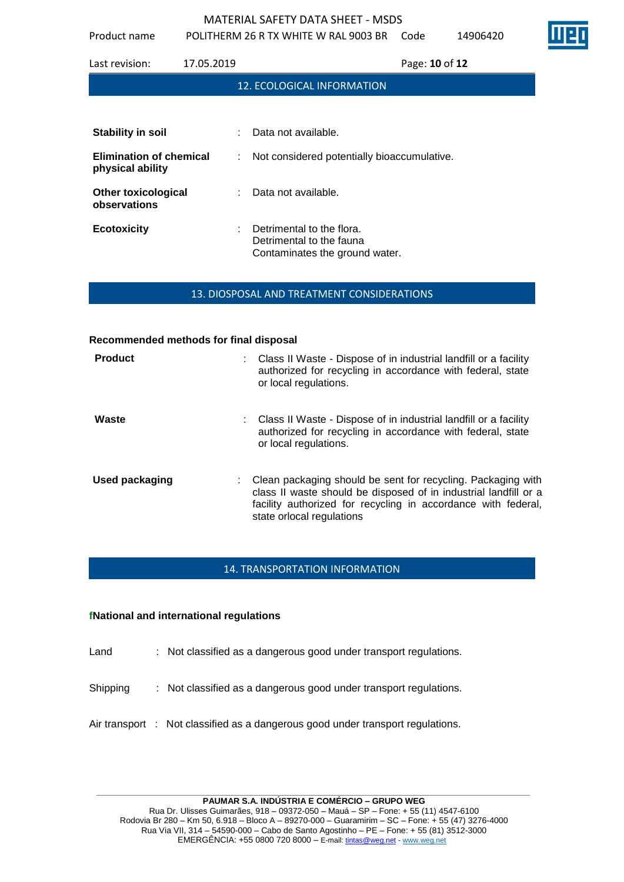Product name POLITHERM 26 R TX WHITE W RAL 9003 BR Code 14906420

Last revision: 17.05.2019 Page: **10** of **12** 12. ECOLOGICAL INFORMATION **Stability in soil** : Data not available. **Elimination of chemical physical ability** : Not considered potentially bioaccumulative. **Other toxicological observations** : Data not available. **Ecotoxicity** : Detrimental to the flora. Detrimental to the fauna Contaminates the ground water.

13. DIOSPOSAL AND TREATMENT CONSIDERATIONS

### **Recommended methods for final disposal**

| <b>Product</b>        | Class II Waste - Dispose of in industrial landfill or a facility<br>authorized for recycling in accordance with federal, state<br>or local regulations.                                                                        |
|-----------------------|--------------------------------------------------------------------------------------------------------------------------------------------------------------------------------------------------------------------------------|
| Waste                 | : Class II Waste - Dispose of in industrial landfill or a facility<br>authorized for recycling in accordance with federal, state<br>or local regulations.                                                                      |
| <b>Used packaging</b> | Clean packaging should be sent for recycling. Packaging with<br>class II waste should be disposed of in industrial landfill or a<br>facility authorized for recycling in accordance with federal,<br>state orlocal regulations |

# 14. TRANSPORTATION INFORMATION

## **fNational and international regulations**

- Land : Not classified as a dangerous good under transport regulations.
- Shipping : Not classified as a dangerous good under transport regulations.
- Air transport : Not classified as a dangerous good under transport regulations.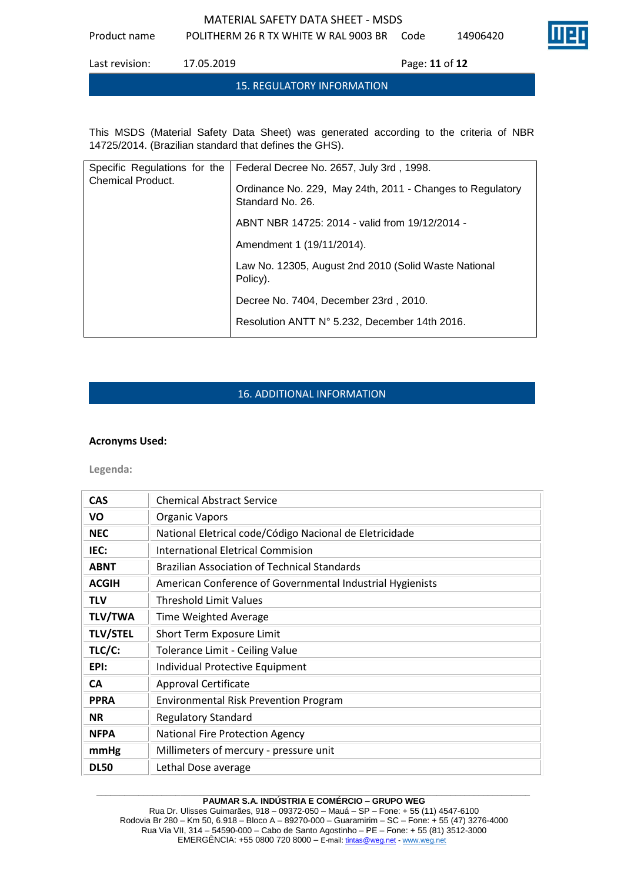Product name POLITHERM 26 R TX WHITE W RAL 9003 BR Code 14906420



Last revision: 17.05.2019 Page: **11** of **12**

### 15. REGULATORY INFORMATION

This MSDS (Material Safety Data Sheet) was generated according to the criteria of NBR 14725/2014. (Brazilian standard that defines the GHS).

| Specific Regulations for the<br><b>Chemical Product.</b> | Federal Decree No. 2657, July 3rd, 1998.                                      |
|----------------------------------------------------------|-------------------------------------------------------------------------------|
|                                                          | Ordinance No. 229, May 24th, 2011 - Changes to Regulatory<br>Standard No. 26. |
|                                                          | ABNT NBR 14725: 2014 - valid from 19/12/2014 -                                |
|                                                          | Amendment 1 (19/11/2014).                                                     |
|                                                          | Law No. 12305, August 2nd 2010 (Solid Waste National<br>Policy).              |
|                                                          | Decree No. 7404, December 23rd, 2010.                                         |
|                                                          | Resolution ANTT N° 5.232, December 14th 2016.                                 |

# 16. ADDITIONAL INFORMATION

## **Acronyms Used:**

**Legenda:**

| <b>CAS</b>      | <b>Chemical Abstract Service</b>                          |
|-----------------|-----------------------------------------------------------|
| VO              | <b>Organic Vapors</b>                                     |
| <b>NEC</b>      | National Eletrical code/Código Nacional de Eletricidade   |
| IEC:            | International Eletrical Commision                         |
| <b>ABNT</b>     | <b>Brazilian Association of Technical Standards</b>       |
| <b>ACGIH</b>    | American Conference of Governmental Industrial Hygienists |
| <b>TLV</b>      | <b>Threshold Limit Values</b>                             |
| <b>TLV/TWA</b>  | Time Weighted Average                                     |
| <b>TLV/STEL</b> | Short Term Exposure Limit                                 |
| TLC/C:          | Tolerance Limit - Ceiling Value                           |
| EPI:            | Individual Protective Equipment                           |
| <b>CA</b>       | <b>Approval Certificate</b>                               |
| <b>PPRA</b>     | <b>Environmental Risk Prevention Program</b>              |
| <b>NR</b>       | <b>Regulatory Standard</b>                                |
| <b>NFPA</b>     | National Fire Protection Agency                           |
| mmHg            | Millimeters of mercury - pressure unit                    |
| <b>DL50</b>     | Lethal Dose average                                       |

### **\_\_\_\_\_\_\_\_\_\_\_\_\_\_\_\_\_\_\_\_\_\_\_\_\_\_\_\_\_\_\_\_\_\_\_\_\_\_\_\_\_\_\_\_\_\_\_\_\_\_\_\_\_\_\_\_\_\_\_\_\_\_\_\_\_\_\_\_\_\_\_\_\_\_\_\_\_\_\_\_\_\_\_\_\_\_\_\_\_\_\_\_\_ PAUMAR S.A. INDÚSTRIA E COMÉRCIO – GRUPO WEG**